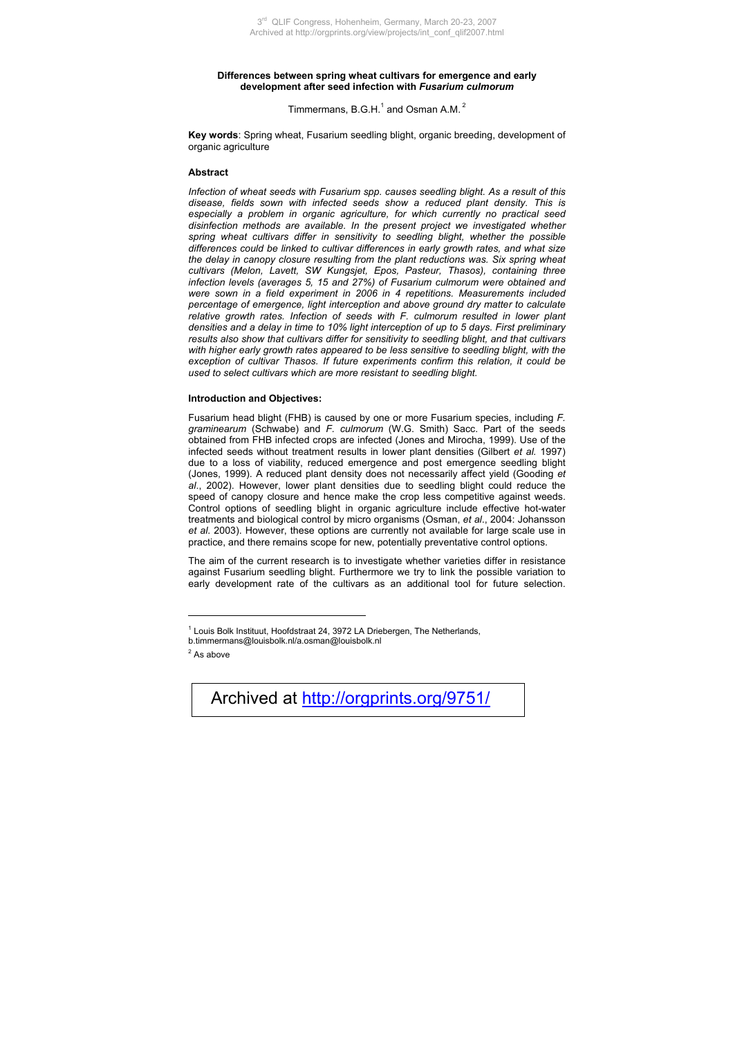## **Differences between spring wheat cultivars for emergence and early development after seed infection with** *Fusarium culmorum*

Timmermans,  $B.G.H.<sup>1</sup>$  and Osman A.M.<sup>2</sup>

**Key words**: Spring wheat, Fusarium seedling blight, organic breeding, development of organic agriculture

## **Abstract**

*Infection of wheat seeds with Fusarium spp. causes seedling blight. As a result of this disease, fields sown with infected seeds show a reduced plant density. This is especially a problem in organic agriculture, for which currently no practical seed disinfection methods are available. In the present project we investigated whether spring wheat cultivars differ in sensitivity to seedling blight, whether the possible differences could be linked to cultivar differences in early growth rates, and what size the delay in canopy closure resulting from the plant reductions was. Six spring wheat cultivars (Melon, Lavett, SW Kungsjet, Epos, Pasteur, Thasos), containing three infection levels (averages 5, 15 and 27%) of Fusarium culmorum were obtained and were sown in a field experiment in 2006 in 4 repetitions. Measurements included percentage of emergence, light interception and above ground dry matter to calculate*  relative growth rates. Infection of seeds with F. culmorum resulted in lower plant *densities and a delay in time to 10% light interception of up to 5 days. First preliminary results also show that cultivars differ for sensitivity to seedling blight, and that cultivars with higher early growth rates appeared to be less sensitive to seedling blight, with the exception of cultivar Thasos. If future experiments confirm this relation, it could be used to select cultivars which are more resistant to seedling blight.* 

## **Introduction and Objectives:**

Fusarium head blight (FHB) is caused by one or more Fusarium species, including *F. graminearum* (Schwabe) and *F. culmorum* (W.G. Smith) Sacc. Part of the seeds obtained from FHB infected crops are infected (Jones and Mirocha, 1999). Use of the infected seeds without treatment results in lower plant densities (Gilbert *et al.* 1997) due to a loss of viability, reduced emergence and post emergence seedling blight (Jones, 1999). A reduced plant density does not necessarily affect yield (Gooding *et al*., 2002). However, lower plant densities due to seedling blight could reduce the speed of canopy closure and hence make the crop less competitive against weeds. Control options of seedling blight in organic agriculture include effective hot-water treatments and biological control by micro organisms (Osman, *et al*., 2004: Johansson *et al*. 2003). However, these options are currently not available for large scale use in practice, and there remains scope for new, potentially preventative control options.

The aim of the current research is to investigate whether varieties differ in resistance against Fusarium seedling blight. Furthermore we try to link the possible variation to early development rate of the cultivars as an additional tool for future selection.

 $2^2$  As above

 $\overline{a}$ 

Archived at http://orgprints.org/9751/

<sup>&</sup>lt;sup>1</sup> Louis Bolk Instituut, Hoofdstraat 24, 3972 LA Driebergen, The Netherlands,

[b.timmermans@louisbolk.nl/a.osman@louisbolk.nl](mailto:b.timmermans@louisbolk.nl/a.osman@louisbolk.nl)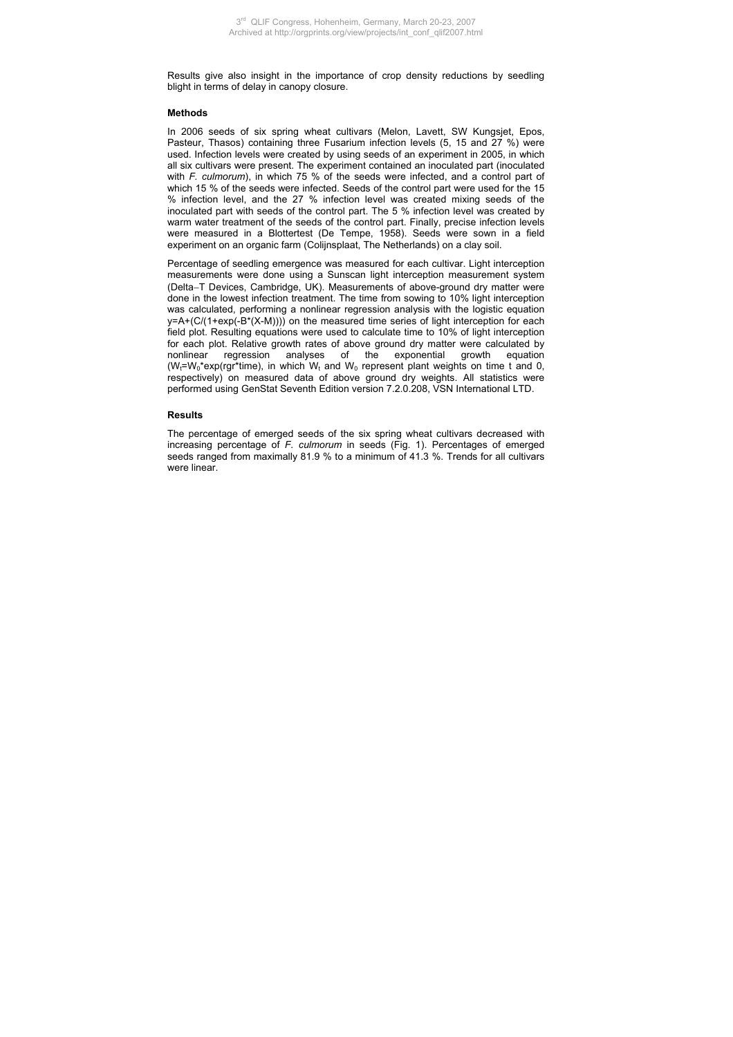Results give also insight in the importance of crop density reductions by seedling blight in terms of delay in canopy closure.

## **Methods**

In 2006 seeds of six spring wheat cultivars (Melon, Lavett, SW Kungsiet, Epos, Pasteur, Thasos) containing three Fusarium infection levels (5, 15 and 27 %) were used. Infection levels were created by using seeds of an experiment in 2005, in which all six cultivars were present. The experiment contained an inoculated part (inoculated with *F. culmorum*), in which 75 % of the seeds were infected, and a control part of which 15 % of the seeds were infected. Seeds of the control part were used for the 15 % infection level, and the 27 % infection level was created mixing seeds of the inoculated part with seeds of the control part. The 5 % infection level was created by warm water treatment of the seeds of the control part. Finally, precise infection levels were measured in a Blottertest (De Tempe, 1958). Seeds were sown in a field experiment on an organic farm (Colijnsplaat, The Netherlands) on a clay soil.

Percentage of seedling emergence was measured for each cultivar. Light interception measurements were done using a Sunscan light interception measurement system (Delta−T Devices, Cambridge, UK). Measurements of above-ground dry matter were done in the lowest infection treatment. The time from sowing to 10% light interception was calculated, performing a nonlinear regression analysis with the logistic equation  $y = A + (C/(1 + exp(-B<sup>*</sup>(X-M))))$  on the measured time series of light interception for each field plot. Resulting equations were used to calculate time to 10% of light interception for each plot. Relative growth rates of above ground dry matter were calculated by nonlinear regression analyses of the exponential growth equation  $(W_t=W_0*exp(rgr^*time)$ , in which  $W_t$  and  $W_0$  represent plant weights on time t and 0, respectively) on measured data of above ground dry weights. All statistics were performed using GenStat Seventh Edition version 7.2.0.208, VSN International LTD.

## **Results**

The percentage of emerged seeds of the six spring wheat cultivars decreased with increasing percentage of *F. culmorum* in seeds (Fig. 1). Percentages of emerged seeds ranged from maximally 81.9 % to a minimum of 41.3 %. Trends for all cultivars were linear.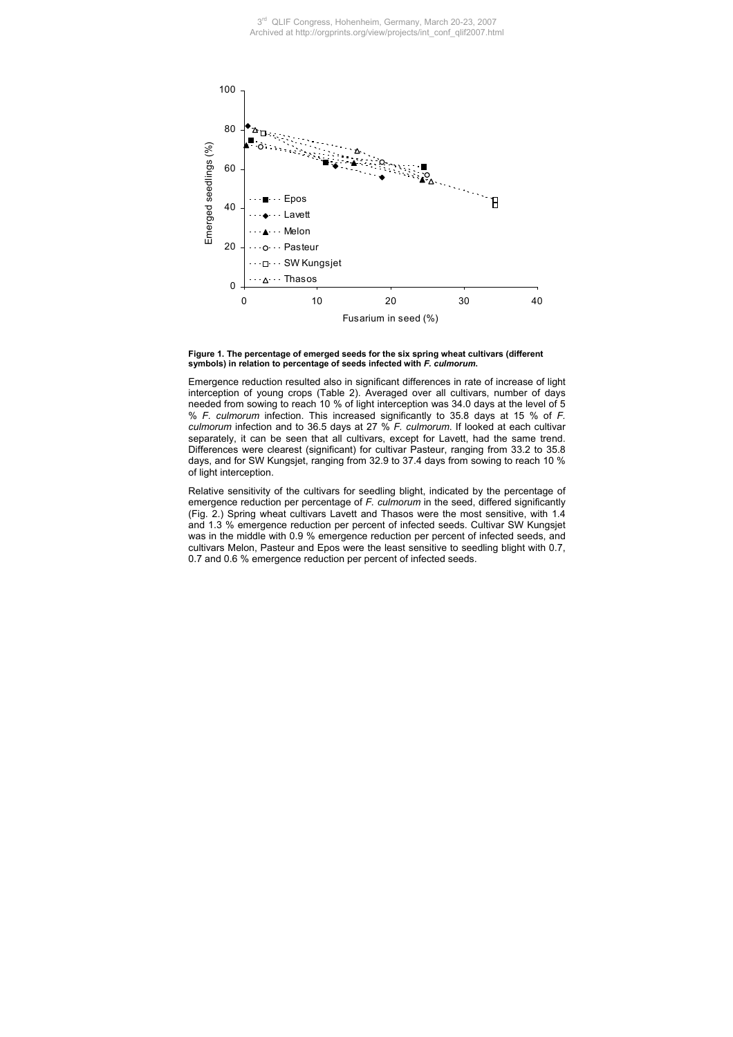

**Figure 1. The percentage of emerged seeds for the six spring wheat cultivars (different symbols) in relation to percentage of seeds infected with** *F. culmorum***.** 

Emergence reduction resulted also in significant differences in rate of increase of light interception of young crops (Table 2). Averaged over all cultivars, number of days needed from sowing to reach 10 % of light interception was 34.0 days at the level of 5 % *F. culmorum* infection. This increased significantly to 35.8 days at 15 % of *F. culmorum* infection and to 36.5 days at 27 % *F. culmorum*. If looked at each cultivar separately, it can be seen that all cultivars, except for Lavett, had the same trend. Differences were clearest (significant) for cultivar Pasteur, ranging from 33.2 to 35.8 days, and for SW Kungsjet, ranging from 32.9 to 37.4 days from sowing to reach 10 % of light interception.

Relative sensitivity of the cultivars for seedling blight, indicated by the percentage of emergence reduction per percentage of *F. culmorum* in the seed, differed significantly (Fig. 2.) Spring wheat cultivars Lavett and Thasos were the most sensitive, with 1.4 and 1.3 % emergence reduction per percent of infected seeds. Cultivar SW Kungsjet was in the middle with 0.9 % emergence reduction per percent of infected seeds, and cultivars Melon, Pasteur and Epos were the least sensitive to seedling blight with 0.7, 0.7 and 0.6 % emergence reduction per percent of infected seeds.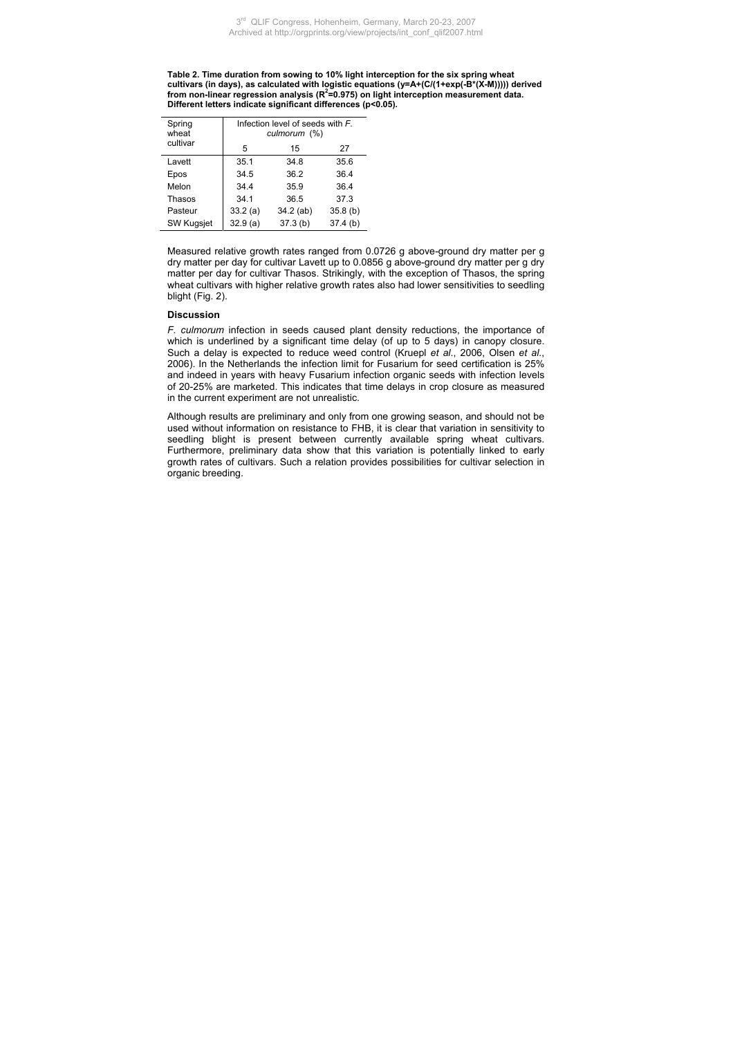**Table 2. Time duration from sowing to 10% light interception for the six spring wheat**  cultivars (in days), as calculated with logistic equations (y=A+(C/(1+exp(-B\*(X-M))))) derived<br>from non-linear regression analysis (R<sup>2</sup>=0.975) on light interception measurement data. **Different letters indicate significant differences (p<0.05).** 

| Spring<br>wheat<br>cultivar | Infection level of seeds with F.<br>culmorum (%) |             |         |
|-----------------------------|--------------------------------------------------|-------------|---------|
|                             | 5                                                | 15          | 27      |
| Lavett                      | 35.1                                             | 34.8        | 35.6    |
| Epos                        | 34.5                                             | 36.2        | 36.4    |
| Melon                       | 34.4                                             | 35.9        | 36.4    |
| Thasos                      | 34.1                                             | 36.5        | 37.3    |
| Pasteur                     | 33.2(a)                                          | $34.2$ (ab) | 35.8(b) |
| <b>SW Kugsjet</b>           | 32.9(a)                                          | 37.3(b)     | 37.4(b) |

Measured relative growth rates ranged from 0.0726 g above-ground dry matter per g dry matter per day for cultivar Lavett up to 0.0856 g above-ground dry matter per g dry matter per day for cultivar Thasos. Strikingly, with the exception of Thasos, the spring wheat cultivars with higher relative growth rates also had lower sensitivities to seedling blight (Fig. 2).

# **Discussion**

*F. culmorum* infection in seeds caused plant density reductions, the importance of which is underlined by a significant time delay (of up to 5 days) in canopy closure. Such a delay is expected to reduce weed control (Kruepl *et al*., 2006, Olsen *et al.*, 2006). In the Netherlands the infection limit for Fusarium for seed certification is 25% and indeed in years with heavy Fusarium infection organic seeds with infection levels of 20-25% are marketed. This indicates that time delays in crop closure as measured in the current experiment are not unrealistic.

Although results are preliminary and only from one growing season, and should not be used without information on resistance to FHB, it is clear that variation in sensitivity to seedling blight is present between currently available spring wheat cultivars. Furthermore, preliminary data show that this variation is potentially linked to early growth rates of cultivars. Such a relation provides possibilities for cultivar selection in organic breeding.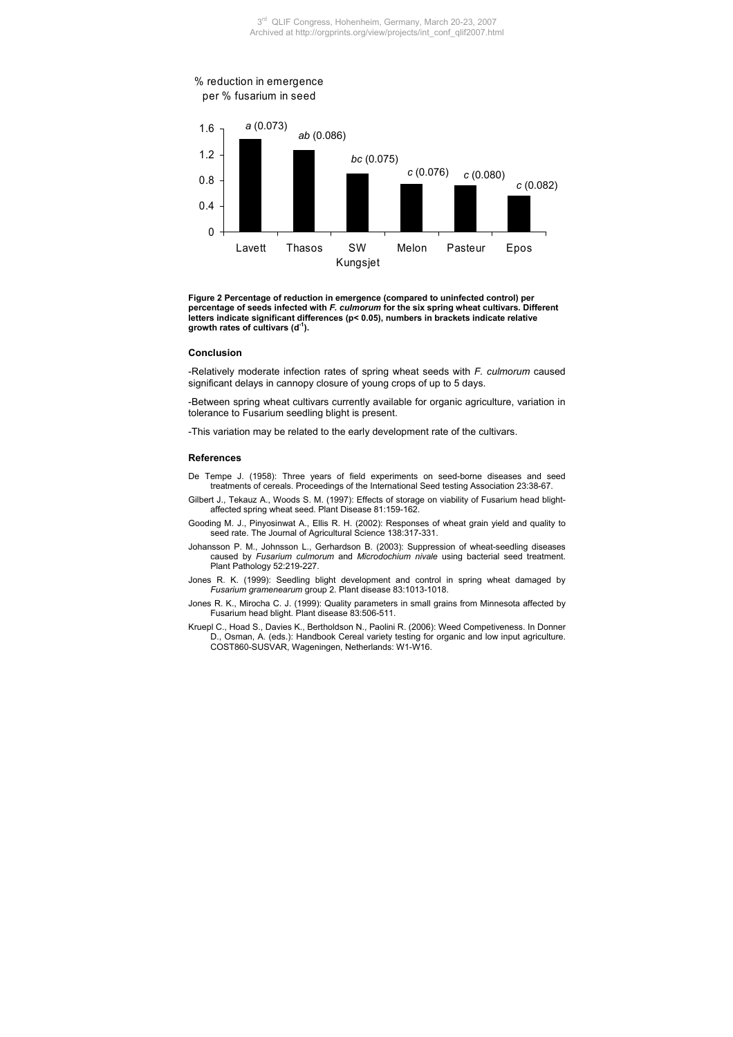



**Figure 2 Percentage of reduction in emergence (compared to uninfected control) per percentage of seeds infected with** *F. culmorum* **for the six spring wheat cultivars. Different letters indicate significant differences (p< 0.05), numbers in brackets indicate relative growth rates of cultivars (d-1).**

#### **Conclusion**

-Relatively moderate infection rates of spring wheat seeds with *F. culmorum* caused significant delays in cannopy closure of young crops of up to 5 days.

-Between spring wheat cultivars currently available for organic agriculture, variation in tolerance to Fusarium seedling blight is present.

-This variation may be related to the early development rate of the cultivars.

### **References**

- De Tempe J. (1958): Three years of field experiments on seed-borne diseases and seed treatments of cereals. Proceedings of the International Seed testing Association 23:38-67.
- Gilbert J., Tekauz A., Woods S. M. (1997): Effects of storage on viability of Fusarium head blightaffected spring wheat seed. Plant Disease 81:159-162.

Gooding M. J., Pinyosinwat A., Ellis R. H. (2002): Responses of wheat grain yield and quality to seed rate. The Journal of Agricultural Science 138:317-331.

- Johansson P. M., Johnsson L., Gerhardson B. (2003): Suppression of wheat-seedling diseases caused by *Fusarium culmorum* and *Microdochium nivale* using bacterial seed treatment. Plant Pathology 52:219-227.
- Jones R. K. (1999): Seedling blight development and control in spring wheat damaged by *Fusarium gramenearum* group 2. Plant disease 83:1013-1018.
- Jones R. K., Mirocha C. J. (1999): Quality parameters in small grains from Minnesota affected by Fusarium head blight. Plant disease 83:506-511.
- Kruepl C., Hoad S., Davies K., Bertholdson N., Paolini R. (2006): Weed Competiveness. In Donner D., Osman, A. (eds.): Handbook Cereal variety testing for organic and low input agriculture. COST860-SUSVAR, Wageningen, Netherlands: W1-W16.